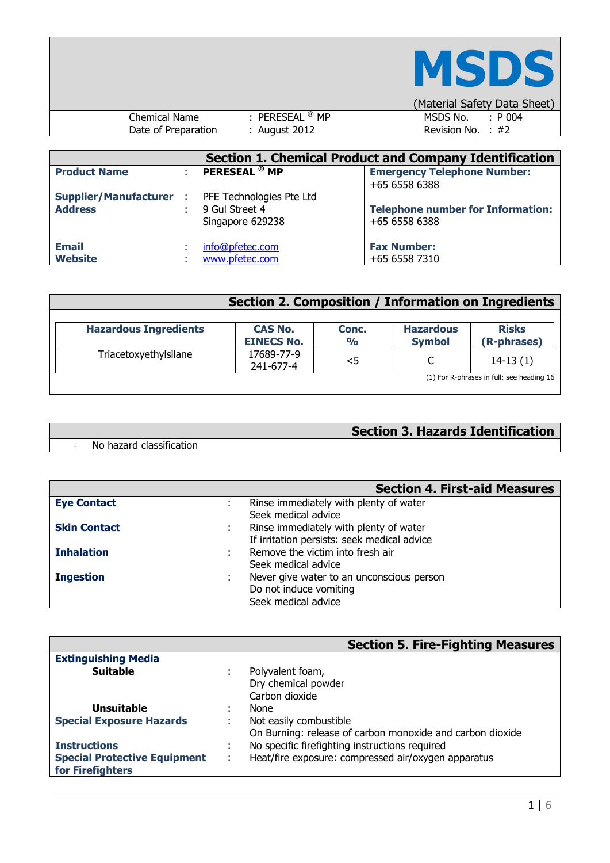

|                     |               | (Malehai Saiely Dala Sheel) |
|---------------------|---------------|-----------------------------|
| Chemical Name       | PERESEAL ® MP | $\cdot$ P 004<br>MSDS No.   |
| Date of Preparation | August 2012   | Revision No. $\div$ #2      |
|                     |               |                             |

| <b>Section 1. Chemical Product and Company Identification</b> |  |                                                                |                                                           |  |  |  |  |
|---------------------------------------------------------------|--|----------------------------------------------------------------|-----------------------------------------------------------|--|--|--|--|
| <b>Product Name</b>                                           |  | <b>PERESEAL<sup>®</sup> MP</b>                                 | <b>Emergency Telephone Number:</b><br>+65 6558 6388       |  |  |  |  |
| <b>Supplier/Manufacturer :</b><br><b>Address</b>              |  | PFE Technologies Pte Ltd<br>9 Gul Street 4<br>Singapore 629238 | <b>Telephone number for Information:</b><br>+65 6558 6388 |  |  |  |  |
| <b>Email</b><br><b>Website</b>                                |  | info@pfetec.com<br>www.pfetec.com                              | <b>Fax Number:</b><br>+65 6558 7310                       |  |  |  |  |

|                              | Section 2. Composition / Information on Ingredients |                        |                                   |                                           |
|------------------------------|-----------------------------------------------------|------------------------|-----------------------------------|-------------------------------------------|
| <b>Hazardous Ingredients</b> | <b>CAS No.</b><br><b>EINECS No.</b>                 | Conc.<br>$\frac{1}{2}$ | <b>Hazardous</b><br><b>Symbol</b> | <b>Risks</b><br>(R-phrases)               |
| Triacetoxyethylsilane        | 17689-77-9<br>241-677-4                             | $<$ 5                  |                                   | $14-13(1)$                                |
|                              |                                                     |                        |                                   | (1) For R-phrases in full: see heading 16 |

# **Section 3. Hazards Identification**

- No hazard classification

|                     | <b>Section 4. First-aid Measures</b>        |
|---------------------|---------------------------------------------|
| <b>Eye Contact</b>  | Rinse immediately with plenty of water      |
|                     | Seek medical advice                         |
| <b>Skin Contact</b> | Rinse immediately with plenty of water      |
|                     | If irritation persists: seek medical advice |
| <b>Inhalation</b>   | Remove the victim into fresh air            |
|                     | Seek medical advice                         |
| <b>Ingestion</b>    | Never give water to an unconscious person   |
|                     | Do not induce vomiting                      |
|                     | Seek medical advice                         |

|                                     |                     | <b>Section 5. Fire-Fighting Measures</b>                  |
|-------------------------------------|---------------------|-----------------------------------------------------------|
| <b>Extinguishing Media</b>          |                     |                                                           |
| <b>Suitable</b>                     |                     | Polyvalent foam,                                          |
|                                     |                     | Dry chemical powder                                       |
|                                     |                     | Carbon dioxide                                            |
| <b>Unsuitable</b>                   |                     | None                                                      |
| <b>Special Exposure Hazards</b>     |                     | Not easily combustible                                    |
|                                     |                     | On Burning: release of carbon monoxide and carbon dioxide |
| <b>Instructions</b>                 | ٠<br>$\blacksquare$ | No specific firefighting instructions required            |
| <b>Special Protective Equipment</b> | ÷                   | Heat/fire exposure: compressed air/oxygen apparatus       |
| for Firefighters                    |                     |                                                           |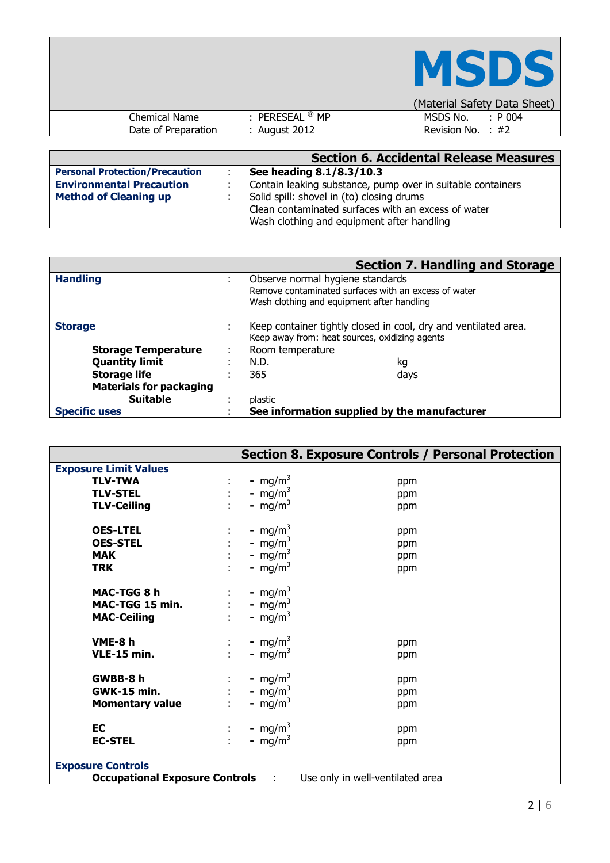|                      |                            | <b>MSDS</b>                  |
|----------------------|----------------------------|------------------------------|
|                      |                            | (Material Safety Data Sheet) |
| <b>Chemical Name</b> | : PERESEAL $^\circledR$ MP | MSDS No.<br>$\div$ P 004     |
| Date of Preparation  | : August 2012              | Revision No. : $#2$          |

 $\mathbf{r}$ 

|                                       | <b>Section 6. Accidental Release Measures</b>               |
|---------------------------------------|-------------------------------------------------------------|
| <b>Personal Protection/Precaution</b> | See heading 8.1/8.3/10.3                                    |
| <b>Environmental Precaution</b>       | Contain leaking substance, pump over in suitable containers |
| <b>Method of Cleaning up</b>          | Solid spill: shovel in (to) closing drums                   |
|                                       | Clean contaminated surfaces with an excess of water         |
|                                       | Wash clothing and equipment after handling                  |

|                                |    | <b>Section 7. Handling and Storage</b>                                                                            |  |  |
|--------------------------------|----|-------------------------------------------------------------------------------------------------------------------|--|--|
| <b>Handling</b>                | ٠  | Observe normal hygiene standards                                                                                  |  |  |
|                                |    | Remove contaminated surfaces with an excess of water                                                              |  |  |
|                                |    | Wash clothing and equipment after handling                                                                        |  |  |
| <b>Storage</b>                 | ٠. | Keep container tightly closed in cool, dry and ventilated area.<br>Keep away from: heat sources, oxidizing agents |  |  |
| <b>Storage Temperature</b>     | ٠  | Room temperature                                                                                                  |  |  |
| <b>Quantity limit</b>          |    | N.D.<br>kq                                                                                                        |  |  |
| <b>Storage life</b>            |    | 365<br>days                                                                                                       |  |  |
| <b>Materials for packaging</b> |    |                                                                                                                   |  |  |
| <b>Suitable</b>                |    | plastic                                                                                                           |  |  |
| <b>Specific uses</b>           |    | See information supplied by the manufacturer                                                                      |  |  |

|                                                                          |                                                              | <b>Section 8. Exposure Controls / Personal Protection</b> |  |  |
|--------------------------------------------------------------------------|--------------------------------------------------------------|-----------------------------------------------------------|--|--|
| <b>Exposure Limit Values</b>                                             |                                                              |                                                           |  |  |
| <b>TLV-TWA</b>                                                           | - mg/m <sup>3</sup><br>÷                                     | ppm                                                       |  |  |
| <b>TLV-STEL</b>                                                          | - mg/m <sup>3</sup><br>$\mathbb{R}^{n \times n}$             | ppm                                                       |  |  |
| <b>TLV-Ceiling</b>                                                       | - mg/m <sup>3</sup>                                          | ppm                                                       |  |  |
| <b>OES-LTEL</b>                                                          | - mg/m <sup>3</sup>                                          | ppm                                                       |  |  |
| <b>OES-STEL</b>                                                          | - mg/m <sup>3</sup>                                          | ppm                                                       |  |  |
| <b>MAK</b>                                                               | - mg/m <sup>3</sup>                                          | ppm                                                       |  |  |
| <b>TRK</b>                                                               | - mg/m <sup>3</sup><br>÷.                                    | ppm                                                       |  |  |
| MAC-TGG 8 h<br>MAC-TGG 15 min.<br><b>MAC-Ceiling</b>                     | - mg/m <sup>3</sup><br>$:$ - mg/m <sup>3</sup><br>- $mg/m^3$ |                                                           |  |  |
| VME-8 h                                                                  | - mg/m <sup>3</sup><br>$\mathcal{X}_\mathcal{A}$             | ppm                                                       |  |  |
| <b>VLE-15 min.</b>                                                       | $\mathbf{H}^{\text{max}}$<br>- mg/m <sup>3</sup>             | ppm                                                       |  |  |
| GWBB-8 h                                                                 | - mg/m <sup>3</sup><br>$\mathcal{V}^{\mathcal{A}}$ .         | ppm                                                       |  |  |
| <b>GWK-15 min.</b>                                                       | : - mg/m <sup>3</sup>                                        | ppm                                                       |  |  |
| <b>Momentary value</b>                                                   | - mg/m <sup>3</sup>                                          | ppm                                                       |  |  |
| <b>EC</b>                                                                | - mg/m <sup>3</sup><br>$\mathbb{E}[\mathcal{E}_\mathcal{A}]$ | ppm                                                       |  |  |
| <b>EC-STEL</b>                                                           | ÷.<br>- $mg/m3$                                              | ppm                                                       |  |  |
| <b>Exposure Controls</b>                                                 |                                                              |                                                           |  |  |
| <b>Occupational Exposure Controls : Use only in well-ventilated area</b> |                                                              |                                                           |  |  |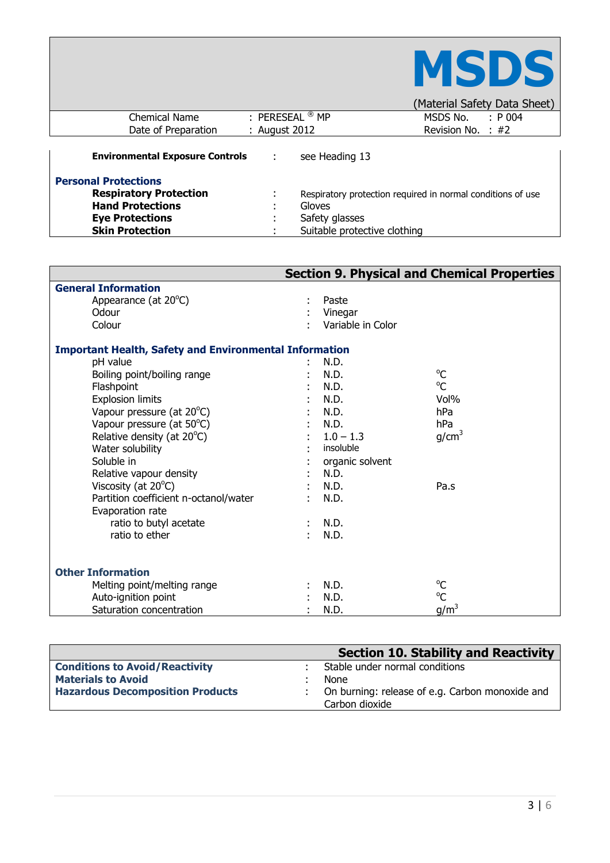|                                        |                             |                              | MSDS                                                        |
|----------------------------------------|-----------------------------|------------------------------|-------------------------------------------------------------|
|                                        |                             |                              | (Material Safety Data Sheet)                                |
| Chemical Name                          | : PERESEAL $\mathcal{B}$ MP |                              | MSDS No. $\therefore$ P 004                                 |
| Date of Preparation                    | : August 2012               |                              | Revision No. $\div$ #2                                      |
| <b>Environmental Exposure Controls</b> | ÷                           | see Heading 13               |                                                             |
| <b>Personal Protections</b>            |                             |                              |                                                             |
| <b>Respiratory Protection</b>          |                             |                              | Respiratory protection required in normal conditions of use |
| <b>Hand Protections</b>                |                             | Gloves                       |                                                             |
| <b>Eye Protections</b>                 |                             | Safety glasses               |                                                             |
| <b>Skin Protection</b>                 |                             | Suitable protective clothing |                                                             |

Г

|                                                               |                   | <b>Section 9. Physical and Chemical Properties</b> |
|---------------------------------------------------------------|-------------------|----------------------------------------------------|
| <b>General Information</b>                                    |                   |                                                    |
| Appearance (at 20°C)                                          | Paste             |                                                    |
| Odour                                                         | Vinegar           |                                                    |
| Colour                                                        | Variable in Color |                                                    |
| <b>Important Health, Safety and Environmental Information</b> |                   |                                                    |
| pH value                                                      | N.D.              |                                                    |
| Boiling point/boiling range                                   | N.D.              | $^{\circ}C$                                        |
| Flashpoint                                                    | N.D.              | $^{\circ}$ C                                       |
| <b>Explosion limits</b>                                       | N.D.              | Vol%                                               |
| Vapour pressure (at 20°C)                                     | N.D.              | hPa                                                |
| Vapour pressure (at 50°C)                                     | N.D.              | hPa                                                |
| Relative density (at 20°C)                                    | $1.0 - 1.3$       | g/cm <sup>3</sup>                                  |
| Water solubility                                              | insoluble         |                                                    |
| Soluble in                                                    | organic solvent   |                                                    |
| Relative vapour density                                       | N.D.              |                                                    |
| Viscosity (at $20^{\circ}$ C)                                 | N.D.              | Pa.s                                               |
| Partition coefficient n-octanol/water                         | N.D.              |                                                    |
| Evaporation rate                                              |                   |                                                    |
| ratio to butyl acetate                                        | N.D.              |                                                    |
| ratio to ether                                                | N.D.              |                                                    |
|                                                               |                   |                                                    |
| <b>Other Information</b>                                      |                   |                                                    |
| Melting point/melting range                                   | N.D.              | $^{\circ}C$                                        |
| Auto-ignition point                                           | N.D.              | $^{\circ}C$                                        |
| Saturation concentration                                      | N.D.              | $g/m^3$                                            |

|                                         | <b>Section 10. Stability and Reactivity</b>                       |
|-----------------------------------------|-------------------------------------------------------------------|
| <b>Conditions to Avoid/Reactivity</b>   | Stable under normal conditions                                    |
| <b>Materials to Avoid</b>               | <b>None</b>                                                       |
| <b>Hazardous Decomposition Products</b> | On burning: release of e.g. Carbon monoxide and<br>Carbon dioxide |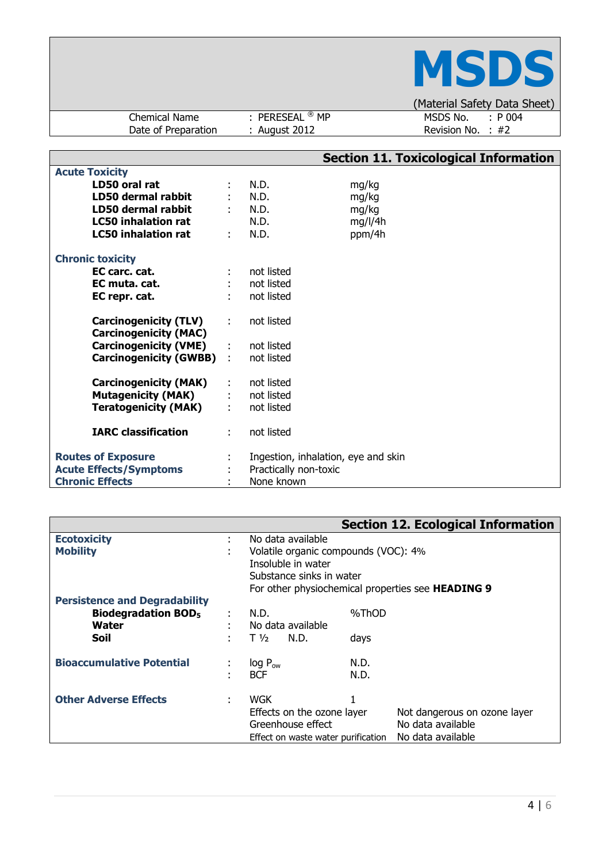|                                      |                                             | <b>NSDS</b>                                         |
|--------------------------------------|---------------------------------------------|-----------------------------------------------------|
|                                      |                                             | (Material Safety Data Sheet)                        |
| Chemical Name<br>Date of Preparation | : PERESEAL $^\circledR$ MP<br>: August 2012 | MSDS No.<br>$\therefore$ P 004<br>Revision No. : #2 |

|                               |               |                       |                                     | <b>Section 11. Toxicological Information</b> |
|-------------------------------|---------------|-----------------------|-------------------------------------|----------------------------------------------|
| <b>Acute Toxicity</b>         |               |                       |                                     |                                              |
| LD50 oral rat                 |               | N.D.                  | mg/kg                               |                                              |
| LD50 dermal rabbit            |               | N.D.                  | mg/kg                               |                                              |
| LD50 dermal rabbit            |               | $:$ N.D.              | mg/kg                               |                                              |
| <b>LC50 inhalation rat</b>    |               | N.D.                  | mg/l/4h                             |                                              |
| <b>LC50 inhalation rat</b>    | ÷             | N.D.                  | ppm/4h                              |                                              |
|                               |               |                       |                                     |                                              |
| <b>Chronic toxicity</b>       |               |                       |                                     |                                              |
| EC carc. cat.                 |               | not listed            |                                     |                                              |
| EC muta. cat.                 |               | not listed            |                                     |                                              |
| EC repr. cat.                 |               | not listed            |                                     |                                              |
|                               |               |                       |                                     |                                              |
| <b>Carcinogenicity (TLV)</b>  | ÷             | not listed            |                                     |                                              |
| <b>Carcinogenicity (MAC)</b>  |               |                       |                                     |                                              |
| <b>Carcinogenicity (VME)</b>  | $\mathcal{L}$ | not listed            |                                     |                                              |
| <b>Carcinogenicity (GWBB)</b> |               | not listed            |                                     |                                              |
|                               |               |                       |                                     |                                              |
| <b>Carcinogenicity (MAK)</b>  |               | not listed            |                                     |                                              |
| Mutagenicity (MAK)            |               | : not listed          |                                     |                                              |
| <b>Teratogenicity (MAK)</b>   |               | not listed            |                                     |                                              |
|                               |               |                       |                                     |                                              |
| <b>IARC classification</b>    | ÷.            | not listed            |                                     |                                              |
|                               |               |                       |                                     |                                              |
| <b>Routes of Exposure</b>     |               |                       | Ingestion, inhalation, eye and skin |                                              |
| <b>Acute Effects/Symptoms</b> |               | Practically non-toxic |                                     |                                              |
| <b>Chronic Effects</b>        |               | None known            |                                     |                                              |

|                                       |   |                                      |       | <b>Section 12. Ecological Information</b>                |
|---------------------------------------|---|--------------------------------------|-------|----------------------------------------------------------|
| <b>Ecotoxicity</b>                    | ٠ | No data available                    |       |                                                          |
| <b>Mobility</b>                       |   | Volatile organic compounds (VOC): 4% |       |                                                          |
|                                       |   | Insoluble in water                   |       |                                                          |
|                                       |   | Substance sinks in water             |       |                                                          |
|                                       |   |                                      |       | For other physiochemical properties see <b>HEADING 9</b> |
| <b>Persistence and Degradability</b>  |   |                                      |       |                                                          |
| <b>Biodegradation BOD<sub>5</sub></b> |   | N.D.                                 | %ThOD |                                                          |
| Water                                 |   | No data available                    |       |                                                          |
| Soil                                  |   | $T\frac{1}{2}$<br>N.D.               | days  |                                                          |
| <b>Bioaccumulative Potential</b>      |   | $log P_{ow}$                         | N.D.  |                                                          |
|                                       |   | <b>BCF</b>                           | N.D.  |                                                          |
|                                       |   |                                      |       |                                                          |
| <b>Other Adverse Effects</b>          | ٠ | <b>WGK</b>                           | 1     |                                                          |
|                                       |   | Effects on the ozone layer           |       | Not dangerous on ozone layer                             |
|                                       |   | Greenhouse effect                    |       | No data available                                        |
|                                       |   | Effect on waste water purification   |       | No data available                                        |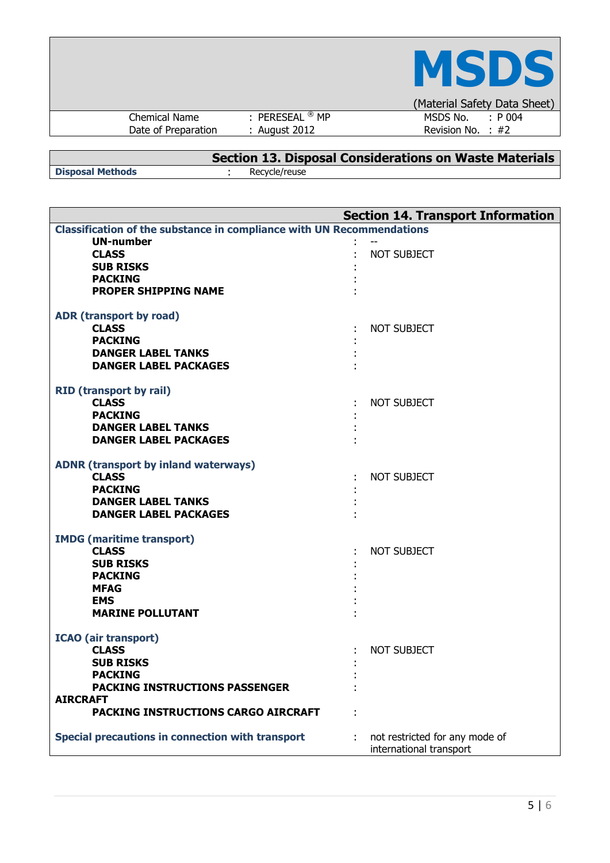|                     |                            | <b>MSDS</b>                  |
|---------------------|----------------------------|------------------------------|
|                     |                            | (Material Safety Data Sheet) |
| Chemical Name       | : PERESEAL $^\circledR$ MP | MSDS No.<br>$: P_004$        |
| Date of Preparation | : August 2012              | Revision No. : $#2$          |
|                     |                            |                              |

|                         | Section 13. Disposal Considerations on Waste Materials |
|-------------------------|--------------------------------------------------------|
| <b>Disposal Methods</b> | Recycle/reuse                                          |

| <b>Section 14. Transport Information</b>                                     |                                |  |  |  |
|------------------------------------------------------------------------------|--------------------------------|--|--|--|
| <b>Classification of the substance in compliance with UN Recommendations</b> |                                |  |  |  |
| <b>UN-number</b>                                                             |                                |  |  |  |
| <b>CLASS</b>                                                                 | <b>NOT SUBJECT</b>             |  |  |  |
| <b>SUB RISKS</b>                                                             |                                |  |  |  |
| <b>PACKING</b>                                                               |                                |  |  |  |
| <b>PROPER SHIPPING NAME</b>                                                  |                                |  |  |  |
| ADR (transport by road)                                                      |                                |  |  |  |
| <b>CLASS</b>                                                                 | NOT SUBJECT                    |  |  |  |
| <b>PACKING</b>                                                               |                                |  |  |  |
| <b>DANGER LABEL TANKS</b>                                                    |                                |  |  |  |
| <b>DANGER LABEL PACKAGES</b>                                                 |                                |  |  |  |
|                                                                              |                                |  |  |  |
| <b>RID (transport by rail)</b>                                               |                                |  |  |  |
| <b>CLASS</b>                                                                 | NOT SUBJECT                    |  |  |  |
| <b>PACKING</b>                                                               |                                |  |  |  |
| <b>DANGER LABEL TANKS</b>                                                    |                                |  |  |  |
| <b>DANGER LABEL PACKAGES</b>                                                 |                                |  |  |  |
| <b>ADNR (transport by inland waterways)</b>                                  |                                |  |  |  |
| <b>CLASS</b>                                                                 | <b>NOT SUBJECT</b>             |  |  |  |
| <b>PACKING</b>                                                               |                                |  |  |  |
| <b>DANGER LABEL TANKS</b>                                                    |                                |  |  |  |
| <b>DANGER LABEL PACKAGES</b>                                                 |                                |  |  |  |
|                                                                              |                                |  |  |  |
| <b>IMDG</b> (maritime transport)<br><b>CLASS</b>                             | <b>NOT SUBJECT</b>             |  |  |  |
| <b>SUB RISKS</b>                                                             |                                |  |  |  |
| <b>PACKING</b>                                                               |                                |  |  |  |
| <b>MFAG</b>                                                                  |                                |  |  |  |
| <b>EMS</b>                                                                   |                                |  |  |  |
| <b>MARINE POLLUTANT</b>                                                      |                                |  |  |  |
|                                                                              |                                |  |  |  |
| <b>ICAO</b> (air transport)                                                  |                                |  |  |  |
| <b>CLASS</b>                                                                 | <b>NOT SUBJECT</b>             |  |  |  |
| <b>SUB RISKS</b>                                                             |                                |  |  |  |
| <b>PACKING</b>                                                               |                                |  |  |  |
| <b>PACKING INSTRUCTIONS PASSENGER</b>                                        |                                |  |  |  |
| <b>AIRCRAFT</b>                                                              |                                |  |  |  |
| PACKING INSTRUCTIONS CARGO AIRCRAFT                                          |                                |  |  |  |
| Special precautions in connection with transport                             | not restricted for any mode of |  |  |  |
|                                                                              | international transport        |  |  |  |